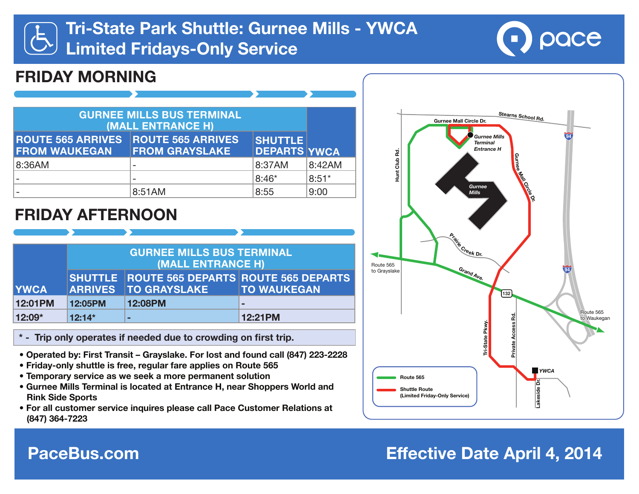# **Tri-State Park Shuttle: Gurnee Mills - YWCA Limited Fridays-Only Service**



## **FRIDAY MORNING**

| <b>GURNEE MILLS BUS TERMINAL</b><br>(MALL ENTRANCE H) |                                                   |                                       |         |
|-------------------------------------------------------|---------------------------------------------------|---------------------------------------|---------|
| <b>ROUTE 565 ARRIVES</b><br><b>FROM WAUKEGAN</b>      | <b>ROUTE 565 ARRIVES</b><br><b>FROM GRAYSLAKE</b> | <b>SHUTTLE</b><br><b>DEPARTS YWCA</b> |         |
| 8:36AM                                                |                                                   | 8:37AM                                | 8:42AM  |
|                                                       |                                                   | $8:46*$                               | $8:51*$ |
|                                                       | 8:51AM                                            | 8:55                                  | 9:00    |

### **FRIDAY AFTERNOON**

|             | <b>GURNEE MILLS BUS TERMINAL</b><br>(MALL ENTRANCE H) |                     |                                                                   |
|-------------|-------------------------------------------------------|---------------------|-------------------------------------------------------------------|
| <b>YWCA</b> | <b>ARRIVES</b>                                        | <b>TO GRAYSLAKE</b> | SHUTTLE ROUTE 565 DEPARTS ROUTE 565 DEPARTS<br><b>TO WAUKEGAN</b> |
| 12:01PM     | 12:05PM                                               | 12:08PM             | $\blacksquare$                                                    |
| $12:09*$    | $12:14*$                                              | -                   | 12:21PM                                                           |

- **\* Trip only operates if needed due to crowding on first trip.**
- **Operated by: First Transit Grayslake. For lost and found call (847) 223-2228**
- **Friday-only shuttle is free, regular fare applies on Route 565**
- **Temporary service as we seek a more permanent solution**
- **Gurnee Mills Terminal is located at Entrance H, near Shoppers World and Rink Side Sports**
- **For all customer service inquires please call Pace Customer Relations at (847) 364-7223**



## **PaceBus.com Effective Date April 4, 2014**